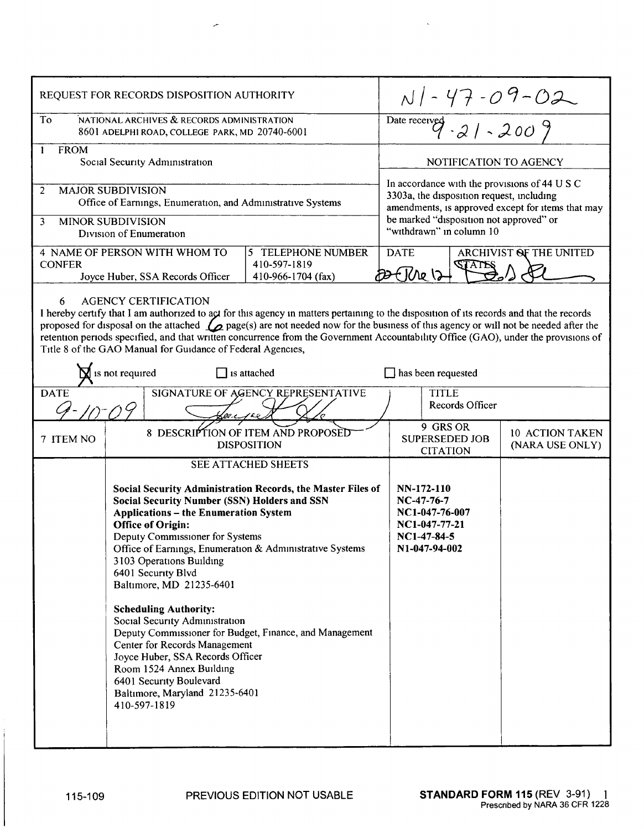| REQUEST FOR RECORDS DISPOSITION AUTHORITY                                                                                                                                                                                                                                                                                                                                                                                                                                                                                             |                                                                                                                                                                                                                                                                                                                                                                                                                                               |                                                          |                                                                                                                                                 |                                                      |                                    |
|---------------------------------------------------------------------------------------------------------------------------------------------------------------------------------------------------------------------------------------------------------------------------------------------------------------------------------------------------------------------------------------------------------------------------------------------------------------------------------------------------------------------------------------|-----------------------------------------------------------------------------------------------------------------------------------------------------------------------------------------------------------------------------------------------------------------------------------------------------------------------------------------------------------------------------------------------------------------------------------------------|----------------------------------------------------------|-------------------------------------------------------------------------------------------------------------------------------------------------|------------------------------------------------------|------------------------------------|
| To<br>NATIONAL ARCHIVES & RECORDS ADMINISTRATION<br>8601 ADELPHI ROAD, COLLEGE PARK, MD 20740-6001                                                                                                                                                                                                                                                                                                                                                                                                                                    |                                                                                                                                                                                                                                                                                                                                                                                                                                               |                                                          | $N$ / - 47 - 09 - 02<br>Date received - 21 - 2009                                                                                               |                                                      |                                    |
| <b>FROM</b><br>1<br>Social Security Administration                                                                                                                                                                                                                                                                                                                                                                                                                                                                                    |                                                                                                                                                                                                                                                                                                                                                                                                                                               |                                                          | NOTIFICATION TO AGENCY                                                                                                                          |                                                      |                                    |
| <b>MAJOR SUBDIVISION</b><br>$\overline{2}$<br>Office of Earnings, Enumeration, and Administrative Systems                                                                                                                                                                                                                                                                                                                                                                                                                             |                                                                                                                                                                                                                                                                                                                                                                                                                                               |                                                          | In accordance with the provisions of 44 U S C<br>3303a, the disposition request, including<br>amendments, is approved except for items that may |                                                      |                                    |
| <b>MINOR SUBDIVISION</b><br>3<br>Division of Enumeration                                                                                                                                                                                                                                                                                                                                                                                                                                                                              |                                                                                                                                                                                                                                                                                                                                                                                                                                               |                                                          | be marked "disposition not approved" or<br>"withdrawn" in column 10                                                                             |                                                      |                                    |
| 4 NAME OF PERSON WITH WHOM TO<br><b>CONFER</b><br>Joyce Huber, SSA Records Officer                                                                                                                                                                                                                                                                                                                                                                                                                                                    |                                                                                                                                                                                                                                                                                                                                                                                                                                               | 5 TELEPHONE NUMBER<br>410-597-1819<br>410-966-1704 (fax) | ARCHIVIST OF THE UNITED<br><b>DATE</b><br><b>STATES</b><br>E Kre 12                                                                             |                                                      |                                    |
| <b>AGENCY CERTIFICATION</b><br>6.<br>I hereby certify that I am authorized to act for this agency in matters pertaining to the disposition of its records and that the records<br>proposed for disposal on the attached $\mathcal{L}$ page(s) are not needed now for the business of this agency or will not be needed after the<br>retention periods specified, and that written concurrence from the Government Accountability Office (GAO), under the provisions of<br>Title 8 of the GAO Manual for Guidance of Federal Agencies, |                                                                                                                                                                                                                                                                                                                                                                                                                                               |                                                          |                                                                                                                                                 |                                                      |                                    |
| $\sum$ is not required<br>$\Box$ is attached<br>has been requested                                                                                                                                                                                                                                                                                                                                                                                                                                                                    |                                                                                                                                                                                                                                                                                                                                                                                                                                               |                                                          |                                                                                                                                                 |                                                      |                                    |
| SIGNATURE OF AGENCY REPRESENTATIVE<br><b>DATE</b><br><b>TITLE</b><br>Records Officer                                                                                                                                                                                                                                                                                                                                                                                                                                                  |                                                                                                                                                                                                                                                                                                                                                                                                                                               |                                                          |                                                                                                                                                 |                                                      |                                    |
| 7 ITEM NO                                                                                                                                                                                                                                                                                                                                                                                                                                                                                                                             | 8 DESCRIPTION OF ITEM AND PROPOSED<br><b>DISPOSITION</b>                                                                                                                                                                                                                                                                                                                                                                                      |                                                          |                                                                                                                                                 | 9 GRS OR<br><b>SUPERSEDED JOB</b><br><b>CITATION</b> | 10 ACTION TAKEN<br>(NARA USE ONLY) |
|                                                                                                                                                                                                                                                                                                                                                                                                                                                                                                                                       | SEE ATTACHED SHEETS                                                                                                                                                                                                                                                                                                                                                                                                                           |                                                          |                                                                                                                                                 |                                                      |                                    |
|                                                                                                                                                                                                                                                                                                                                                                                                                                                                                                                                       | Social Security Administration Records, the Master Files of<br><b>Social Security Number (SSN) Holders and SSN</b><br><b>Applications - the Enumeration System</b><br><b>Office of Origin:</b><br>Deputy Commissioner for Systems<br>Office of Earnings, Enumeration & Administrative Systems<br>3103 Operations Building<br>6401 Security Blvd<br>Baltimore, MD 21235-6401<br><b>Scheduling Authority:</b><br>Social Security Administration |                                                          | NN-172-110<br>NC-47-76-7<br>NC1-047-76-007<br>NC1-047-77-21<br>$NC1-47-84-5$<br>N1-047-94-002                                                   |                                                      |                                    |
| 410-597-1819                                                                                                                                                                                                                                                                                                                                                                                                                                                                                                                          | Center for Records Management<br>Joyce Huber, SSA Records Officer<br>Room 1524 Annex Building<br>6401 Security Boulevard<br>Baltimore, Maryland 21235-6401                                                                                                                                                                                                                                                                                    | Deputy Commissioner for Budget, Finance, and Management  |                                                                                                                                                 |                                                      |                                    |

 $\overline{a}$ 

 $\bar{\mathbf{r}}$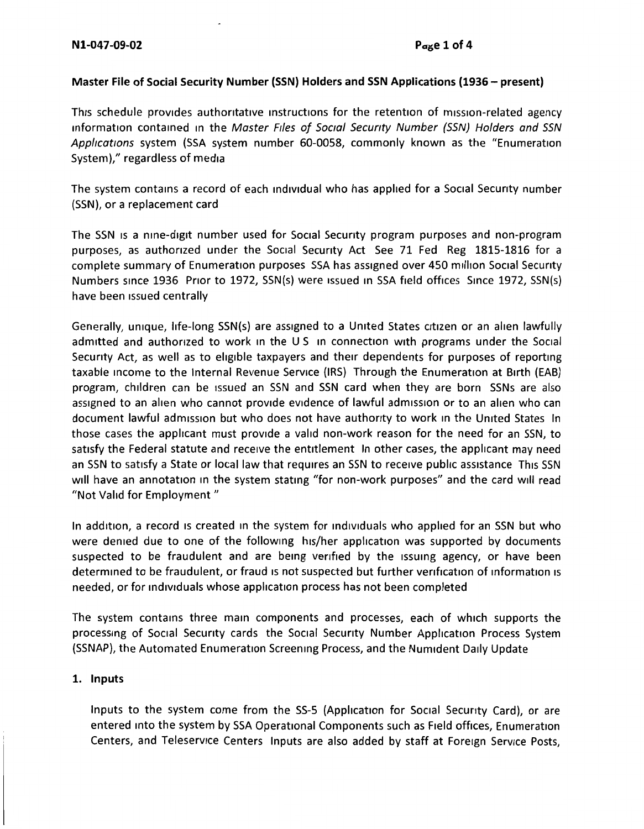## **Master File of Social Security Number (SSN) Holders and SSN Applications (1936 - present)**

This schedule provides authoritative instructions for the retention of mission-related agency information contained m the Master Flies of Social Secunty Number (SSN) Holders and SSN Applications system (SSA system number 60-0058, commonly known as the "Enumeration System)," regardless of media

The system contains a record of each individual who has applied for a Social Security number (SSN), or a replacement card

The SSN is a nine-digit number used for Social Security program purposes and non-program purposes, as authorized under the Social Security Act See 71 Fed Reg 1815-1816 for a complete summary of Enumeration purposes SSA has assigned over 450 million Social Security Numbers since 1936 Prior to 1972, SSN(s) were issued m SSA field offices Smee 1972, SSN(s) have been issued centrally

Generally, unique, life-long SSN(s) are assigned to a United States citizen or an alien lawfully admitted and authorized to work in the US in connection with programs under the Social Security Act, as well as to eligible taxpayers and their dependents for purposes of reporting taxable income to the Internal Revenue Service (IRS) Through the Enumeration at Birth (EAB) program, children can be issued an SSN and SSN card when they are born SSNs are also assigned to an alien who cannot provide evidence of lawful admission or to an alien who can document lawful admission but who does not have authority to work in the United States In those cases the applicant must provide a valid non-work reason for the need for an SSN, to satisfy the Federal statute and receive the entitlement In other cases, the applicant may need an SSN to satisfy a State or local law that requires an SSN to receive public assistance This SSN will have an annotation in the system stating "for non-work purposes" and the card will read "Not Valid for Employment"

In addition, a record is created in the system for individuals who applied for an SSN but who were denied due to one of the following his/her application was supported by documents suspected to be fraudulent and are being verified by the issuing agency, or have been determined to be fraudulent, or fraud is not suspected but further verification of information is needed, or for individuals whose application process has not been completed

The system contains three mam components and processes, each of which supports the processing of Social Security cards the Social Security Number Application Process System (SSNAP), the Automated Enumeration Screening Process, and the Num1dent Daily Update

## **1. Inputs**

Inputs to the system come from the 55-5 (Application for Social Security Card), or are entered mto the system by SSA Operational Components such as Field offices, Enumeration Centers, and Teleservice Centers Inputs are also added by staff at Foreign Service Posts,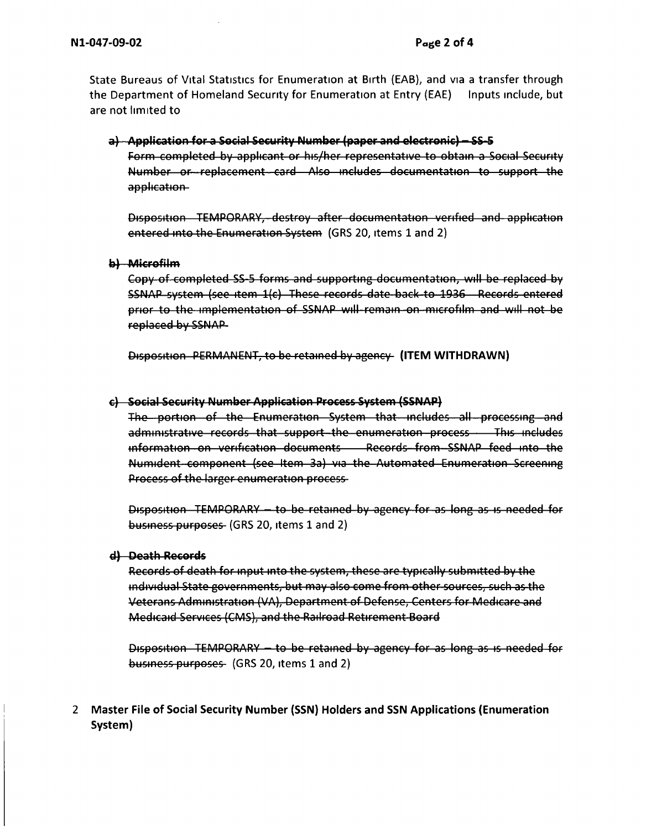State Bureaus of Vital Statistics for Enumeration at Birth (EAB), and via a transfer through the Department of Homeland Security for Enumeration at Entry (EAE) Inputs include, but are not limited to

a) - Application for a Social Security Number (paper and electronic) - SS-5

Form completed by applicant or his/her representative to obtain a Social Security Number or replacement card Also includes documentation to support the application-

Disposition TEMPORARY, destroy after documentation verified and application entered into the Enumeration System (GRS 20, items 1 and 2)

## b) Microfilm

Copy of completed SS-5 forms and supporting documentation, will be replaced by SSNAP system (see item 1(c) These records date back to 1936 Records entered prior to the implementation of SSNAP will-remain on microfilm and will not be replaced by SSNAP

Disposition PERMANENT, to be retained by agency (ITEM WITHDRAWN)

## c) Social Security Number Application Process System (SSNAP)

The portion of the Enumeration System that includes all processing and administrative records that support the enumeration process - This includes information on verification documents Records from SSNAP feed into the Numident component (see Item 3a) via the Automated Enumeration Screening Process of the larger enumeration process-

Disposition TEMPORARY - to be retained by agency for as long as is needed for business purposes (GRS 20, items 1 and 2)

#### d) Death Records

Records of death for input into the system, these are typically submitted by the individual State governments, but may also come from other sources, such as the Veterans Administration (VA), Department of Defense, Centers for Medicare and Medicald Services (CMS), and the Railroad Retirement Board

Disposition TEMPORARY - to be retained by agency for as long as is needed for business purposes (GRS 20, items 1 and 2)

2 Master File of Social Security Number (SSN) Holders and SSN Applications (Enumeration System)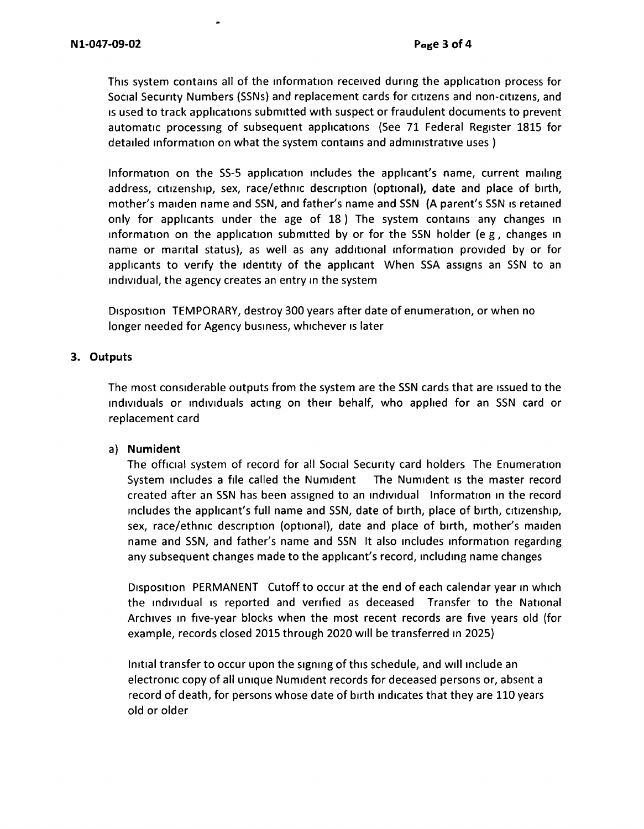This system contains all of the information received during the application process for Social Security Numbers (SSNs) and replacement cards for cItIzens and non-cItIzens, and Is used to track applications submitted with suspect or fraudulent documents to prevent automatic processing of subsequent applications (See 71 Federal Register 1815 for detailed information on what the system contains and administrative uses )

Information on the SS-5 application includes the applicant's name, current mailing address, citizenship, sex, race/ethnic description (optional), date and place of birth, mother's maiden name and SSN, and father's name and **SSN (A** parent's SSN Is retained only for applicants under the age of 18 ) The system contains any changes in information on the application submitted by or for the SSN holder (e g, changes in name or marital status), as well as any additional information provided by or for applicants to verify the identity of the applicant When SSA assigns an SSN to an ind1v1dual, the agency creates an entry in the system

Disposition TEMPORARY, destroy 300 years after date of enumeration, or when no longer needed for Agency business, whichever is later

## **3. Outputs**

The most considerable outputs from the system are the SSN cards that are issued to the ind1v1duals or ind1v1duals acting on their behalf, who applied for an SSN card or replacement card

## a) **Numident**

The official system of record for all Social Security card holders The Enumeration System includes a file called the Numident The Numident is the master record created after an SSN has been assigned to an ind1v1dual Information in the record includes the applicant's full name and SSN, date of birth, place of birth, citizenship, sex, race/ethnic description (optional), date and place of birth, mother's maiden name and SSN, and father's name and SSN It also includes information regarding any subsequent changes made to the applicant's record, including name changes

Disposition PERMANENT Cutoff to occur at the end of each calendar year in which the individual is reported and verified as deceased Transfer to the National Archives in five-year blocks when the most recent records are five years old (for example, records closed 2015 through 2020 will be transferred in 2025)

Initial transfer to occur upon the signing of this schedule, and will include an electronic copy of all unique Num1dent records for deceased persons or, absent a record of death, for persons whose date of birth indicates that they are 110 years old or older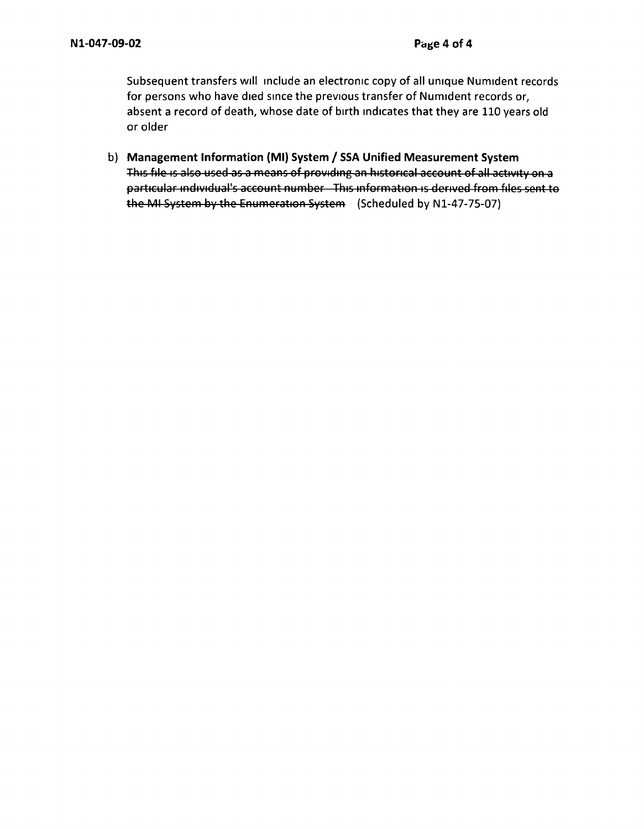Subsequent transfers will include an electronic copy of all unique Numident records for persons who have died since the previous transfer of Numident records or, absent a record of death, whose date of birth indicates that they are 110 years old or older

b) **Management Information (Ml) System / SSA Unified Measurement System**  This file is also used as a means of providing an historical account of all activity on a particular individual's account number This information is derived from files sent to the MI System by the Enumeration System (Scheduled by N1-47-75-07)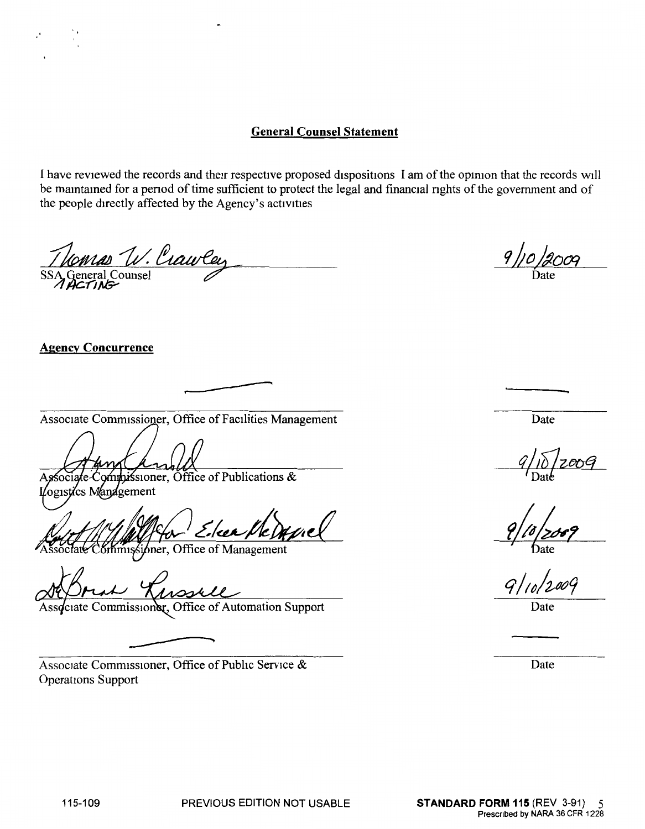# **General Counsel Statement**

I have reviewed the records and their respective proposed dispositions I am ofthe opmion that the records will be maintained for a period of time sufficient to protect the legal and financial rights of the government and of the people directly affected by the Agency's activities

COMAD V. Crawley<br>General Counsel<br>ACTING

## **Agency Concurrence**

Associate Commissioner, Office of Facilities Management Date

.---------

 $\mu$ ssioner, Office of Publications & ogistics Management

mussioner, Office of Management

1000 Associate Commissione

Associate Commissioner, Office of Public Service & Date Operations Support

Date

 $9/10/2009$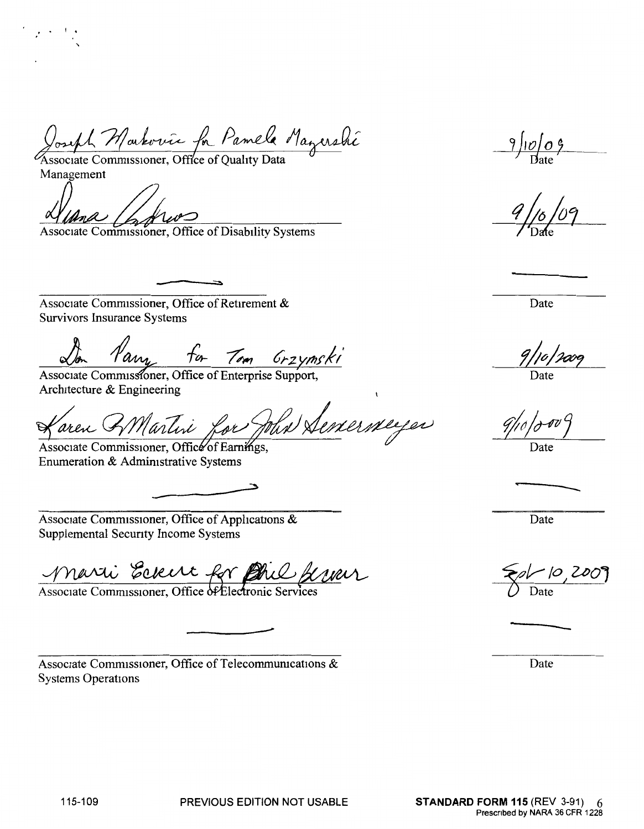We Seneminger aren AMartin

ℶ

Lon Vary for Tom Grzynski

Joseph Markovic for Pamela Magershi

Minute Commissioner, Office of Disability Systems

Associate Commissioner, Office of Retirement &

**Survivors Insurance Systems** 

Architecture & Engineering

Associate Commissioner, Office of Earnings, Enumeration & Administrative Systems

Associate Commissioner, Office of Applications & Supplemental Security Income Systems

Marti Eckert for Die freuer

Associate Commissioner, Office of Telecommunications & **Systems Operations** 

 $9/10/09$ 

Date

Date

Date

Date

Date

Management